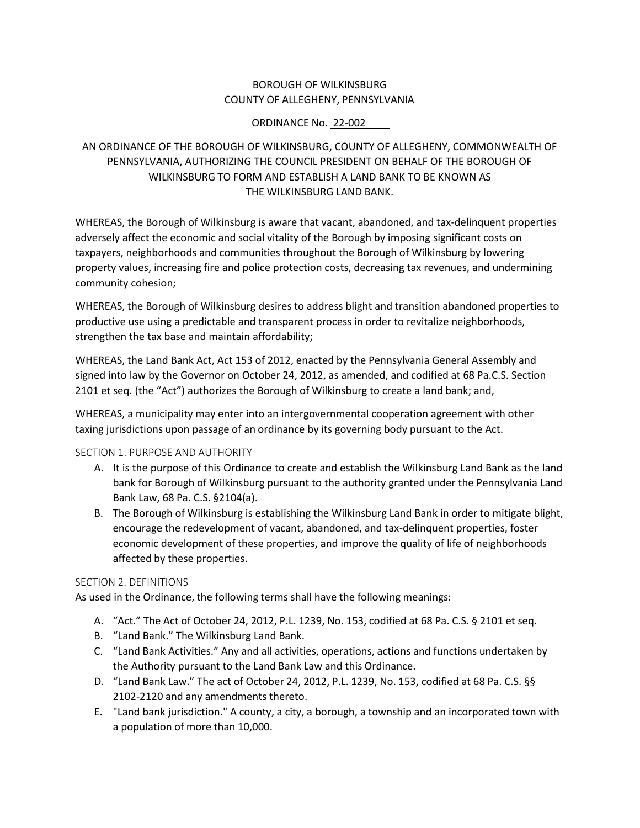## BOROUGH OF WILKINSBURG COUNTY OF ALLEGHENY, PENNSYLVANIA

### ORDINANCE No. 22-002

# AN ORDINANCE OF THE BOROUGH OF WILKINSBURG, COUNTY OF ALLEGHENY, COMMONWEALTH OF PENNSYLVANIA, AUTHORIZING THE COUNCIL PRESIDENT ON BEHALF OF THE BOROUGH OF WILKINSBURG TO FORM AND ESTABLISH A LAND BANK TO BE KNOWN AS THE WILKINSBURG LAND BANK.

WHEREAS, the Borough of Wilkinsburg is aware that vacant, abandoned, and tax-delinquent properties adversely affect the economic and social vitality of the Borough by imposing significant costs on taxpayers, neighborhoods and communities throughout the Borough of Wilkinsburg by lowering property values, increasing fire and police protection costs, decreasing tax revenues, and undermining community cohesion;

WHEREAS, the Borough of Wilkinsburg desires to address blight and transition abandoned properties to productive use using a predictable and transparent process in order to revitalize neighborhoods, strengthen the tax base and maintain affordability;

WHEREAS, the Land Bank Act, Act 153 of 2012, enacted by the Pennsylvania General Assembly and signed into law by the Governor on October 24, 2012, as amended, and codified at 68 Pa.C.S. Section 2101 et seq. (the "Act") authorizes the Borough of Wilkinsburg to create a land bank; and,

WHEREAS, a municipality may enter into an intergovernmental cooperation agreement with other taxing jurisdictions upon passage of an ordinance by its governing body pursuant to the Act.

### SECTION 1. PURPOSE AND AUTHORITY

- A. It is the purpose of this Ordinance to create and establish the Wilkinsburg Land Bank as the land bank for Borough of Wilkinsburg pursuant to the authority granted under the Pennsylvania Land Bank Law, 68 Pa. C.S. §2104(a).
- B. The Borough of Wilkinsburg is establishing the Wilkinsburg Land Bank in order to mitigate blight, encourage the redevelopment of vacant, abandoned, and tax-delinquent properties, foster economic development of these properties, and improve the quality of life of neighborhoods affected by these properties.

### SECTION 2. DEFINITIONS

As used in the Ordinance, the following terms shall have the following meanings:

- A. "Act." The Act of October 24, 2012, P.L. 1239, No. 153, codified at 68 Pa. C.S. § 2101 et seq.
- B. "Land Bank." The Wilkinsburg Land Bank.
- C. "Land Bank Activities." Any and all activities, operations, actions and functions undertaken by the Authority pursuant to the Land Bank Law and this Ordinance.
- D. "Land Bank Law." The act of October 24, 2012, P.L. 1239, No. 153, codified at 68 Pa. C.S. §§ 2102-2120 and any amendments thereto.
- E. "Land bank jurisdiction." A county, a city, a borough, a township and an incorporated town with a population of more than 10,000.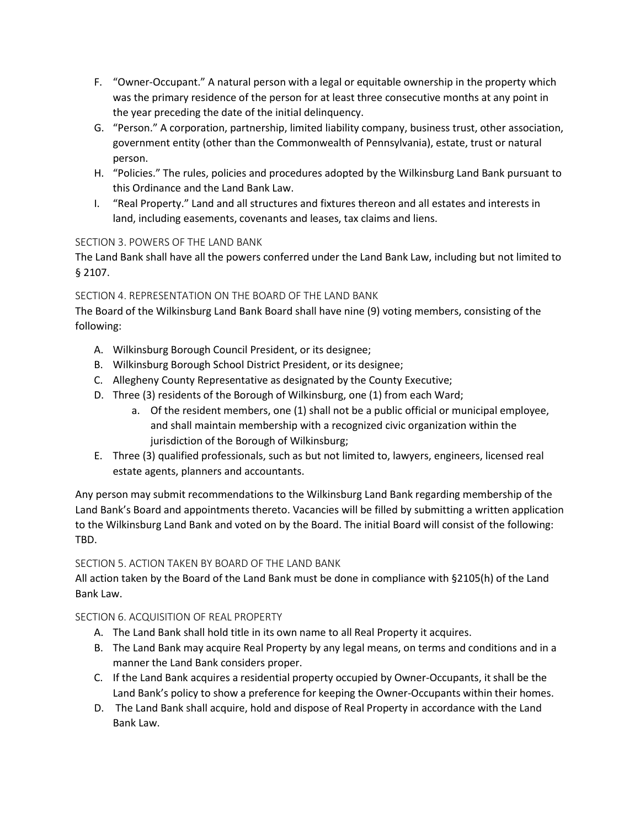- F. "Owner-Occupant." A natural person with a legal or equitable ownership in the property which was the primary residence of the person for at least three consecutive months at any point in the year preceding the date of the initial delinquency.
- G. "Person." A corporation, partnership, limited liability company, business trust, other association, government entity (other than the Commonwealth of Pennsylvania), estate, trust or natural person.
- H. "Policies." The rules, policies and procedures adopted by the Wilkinsburg Land Bank pursuant to this Ordinance and the Land Bank Law.
- I. "Real Property." Land and all structures and fixtures thereon and all estates and interests in land, including easements, covenants and leases, tax claims and liens.

# SECTION 3. POWERS OF THE LAND BANK

The Land Bank shall have all the powers conferred under the Land Bank Law, including but not limited to § 2107.

# SECTION 4. REPRESENTATION ON THE BOARD OF THE LAND BANK

The Board of the Wilkinsburg Land Bank Board shall have nine (9) voting members, consisting of the following:

- A. Wilkinsburg Borough Council President, or its designee;
- B. Wilkinsburg Borough School District President, or its designee;
- C. Allegheny County Representative as designated by the County Executive;
- D. Three (3) residents of the Borough of Wilkinsburg, one (1) from each Ward;
	- a. Of the resident members, one (1) shall not be a public official or municipal employee, and shall maintain membership with a recognized civic organization within the jurisdiction of the Borough of Wilkinsburg;
- E. Three (3) qualified professionals, such as but not limited to, lawyers, engineers, licensed real estate agents, planners and accountants.

Any person may submit recommendations to the Wilkinsburg Land Bank regarding membership of the Land Bank's Board and appointments thereto. Vacancies will be filled by submitting a written application to the Wilkinsburg Land Bank and voted on by the Board. The initial Board will consist of the following: TBD.

### SECTION 5. ACTION TAKEN BY BOARD OF THE LAND BANK

All action taken by the Board of the Land Bank must be done in compliance with §2105(h) of the Land Bank Law.

### SECTION 6. ACQUISITION OF REAL PROPERTY

- A. The Land Bank shall hold title in its own name to all Real Property it acquires.
- B. The Land Bank may acquire Real Property by any legal means, on terms and conditions and in a manner the Land Bank considers proper.
- C. If the Land Bank acquires a residential property occupied by Owner-Occupants, it shall be the Land Bank's policy to show a preference for keeping the Owner-Occupants within their homes.
- D. The Land Bank shall acquire, hold and dispose of Real Property in accordance with the Land Bank Law.